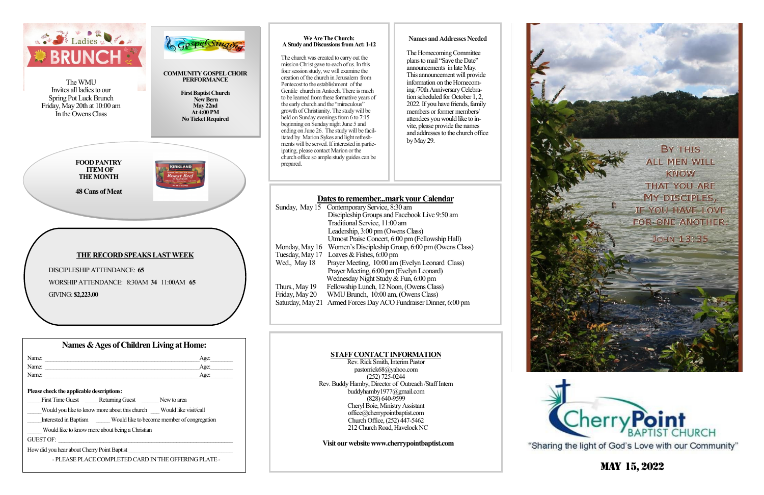Name: \_\_\_\_\_\_\_\_\_\_\_\_\_\_\_\_\_\_\_\_\_\_\_\_\_\_\_\_\_\_\_\_\_\_\_\_\_\_\_\_\_\_\_\_\_\_\_\_\_\_\_\_\_\_\_Age:\_\_\_\_\_\_\_\_

First Time Guest **Returning Guest** New to area

**Please check the applicable descriptions:**

How did you hear about Cherry Point Baptist

GUEST OF:

Name:  $\Delta$ ge:



\_\_\_\_\_ Would like to know more about being a Christian

Would you like to know more about this church Would like visit/call Interested in Baptism Would like to become member of congregation

- PLEASE PLACE COMPLETED CARD IN THE OFFERING PLATE -

# May 15, 2022

# Rev. Rick Smith, Interim Pastor

pastorrick68@yahoo.com (252) 725-0244 Rev. Buddy Hamby, Director of Outreach /Staff Intern [buddyhamby1977@gmail.com](mailto:buddyhamby1977@gmail.com)  $(828)$  640-9599 Cheryl Boie, Ministry Assistant office@cherrypointbaptist.com Church Office, (252) 447-5462 212 Church Road, Havelock NC

 **Visit our website www.cherrypointbaptist.com**



"Sharing the light of God's Love with our Community"